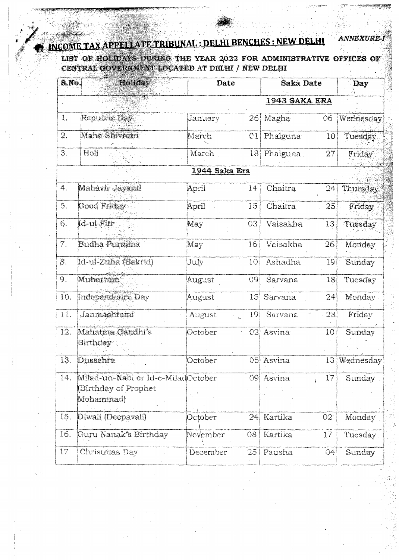## **INCOME TAX APPELLATE TRIBUNAL : DELHI BENCHES : NEW DELHI**

LIST OF HOLIDAYS DURING THE YEAR 2022 FOR ADMINISTRATIVE OFFICES OF **CENTRAL GOVERNMENT LOCATED AT DELHI / NEW DELHI** 

*m*

**ANNEXURE-1** 

| $S$ . No.             | Holiday                                                                 | <b>Date</b>   |                | <b>Saka Date</b>      |                 | Day           |  |  |
|-----------------------|-------------------------------------------------------------------------|---------------|----------------|-----------------------|-----------------|---------------|--|--|
| <b>1943 SAKA ERA</b>  |                                                                         |               |                |                       |                 |               |  |  |
| j<br>x                | $\mathsf{ReplaceDay}$ .                                                 | January       | 26.            | Magha                 | 06              | Wednesday     |  |  |
| Q.,                   | Maha Shivratri                                                          | March         | O <sub>1</sub> | Phalguna <sup>®</sup> | 10 <sup>°</sup> | Tuesday       |  |  |
| 3.                    | Holi                                                                    | March         | 18             | Phalguna              | 27              | <b>Friday</b> |  |  |
|                       |                                                                         | 1944 Saka Era |                |                       |                 |               |  |  |
| 4.                    | Mahavir Jayanti                                                         | April         | 14             | Chaitra               | 24              | Thursday      |  |  |
| 5.                    | Good Friday                                                             | April         | 15             | Chaitra.              | 25              | Friday        |  |  |
| б.                    | Id-ul-Fitr                                                              | May           | 03             | Vaisakha              | 13              | Tuesday       |  |  |
| 7.                    | <b>Budha Purnima</b>                                                    | May           | 16             | Vaisakha              | 26              | Monday        |  |  |
| $\hat{\mathcal{S}}$ . | Id-ul-Zuha (Bakrid)                                                     | Uuly          | 10             | <b>Ashadha</b>        | 19              | Sunday        |  |  |
| 9.                    | Muharram                                                                | August        | 09             | Sarvana               | 18              | Tuesday       |  |  |
| 10.                   | Independence Day                                                        | August        | 15             | Sarvana               | 24              | Monday.       |  |  |
| 11.                   | Janmashtami                                                             | August        | 19             | Sarvana               | 28              | Friday        |  |  |
| 12.                   | Mahatma Gandhi's<br>Birthday <sup></sup>                                | October       | 02             | Asvina                | 10              | Sunday        |  |  |
| 13.                   | Dussehra                                                                | October       |                | 05 Asvina             |                 | 13 Wednesday  |  |  |
| 14.                   | Milad-un-Nabi or Id-e-MiladOctober<br>(Birthday of Prophet<br>Mohammad) | e d           | 09             | Asvina                | 17<br>z.        | Sunday        |  |  |
| 15.                   | Diwali (Deepavali)                                                      | October       | 24             | Kartika               | O2              | Monday        |  |  |
| 16.                   | Guru Nanak's Birthday                                                   | November      | 08             | Kartika               | 17              | Tuesday       |  |  |
| 17                    | Christmas Day                                                           | December      | 25             | Pausha                | 04              | Sunday        |  |  |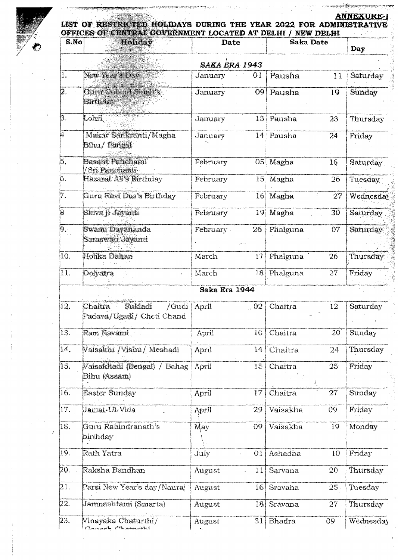**ANNEXURE-1** 



## **LIST OF RESTRICTED HOLIDAYS DURING** THE **YEAR 2022 FOR ADMINISTRATIVE OFFICES OF CENTRAL GOVERNMENT LOCATED AT DELHI / NEW DELHI**

| S.No                      | <b>Holiday</b>                                           | <b>Date</b>                   |    | <b>Saka Date</b> |                       | Day              |  |  |
|---------------------------|----------------------------------------------------------|-------------------------------|----|------------------|-----------------------|------------------|--|--|
| <b>SAKA ERA 1943</b>      |                                                          |                               |    |                  |                       |                  |  |  |
| 1.                        | New Year's Day                                           | January                       | 01 | Pausha           | 11                    | Saturday         |  |  |
| þ.                        | Guru Gobind Singh's<br>Birthday                          | January                       | 09 | Pausha           | 19                    | Sunday           |  |  |
| $\overline{\mathbf{3}}$ . | Lohri                                                    | Jamary                        | 13 | Pausha           | 23                    | Thursday         |  |  |
| 4                         | Makar Sankranti/Magha<br>Bihu/ Pongal                    | January                       | 14 | Pausha           | 24                    | Friday           |  |  |
| $\overline{5}$ .          | <b>Basant Panchami</b><br>'Sri Panchami                  | February                      | 05 | Magha            | 16                    | Saturday         |  |  |
| б.                        | Hazarat Ali's Birthday                                   | February                      | 15 | Magha            | 26                    | Tuesday          |  |  |
| 17.                       | Guru Ravi Das's Birthday                                 | February                      | 16 | Magha            | 27                    | Wednesday        |  |  |
| $\overline{8}$            | Shiva ji Jayanti                                         | February                      | 19 | Magha            | 30                    | Saturday         |  |  |
| $\vert$ 9. $\vert$        | Swami Dayananda<br>Saraswati Jayanti                     | February                      | 26 | Phalguna         | 07                    | Saturday         |  |  |
| 10.                       | Holika Dahan                                             | March                         | 17 | Phalguna         | 26                    | Thursday         |  |  |
| $\overline{11}$ .         | Dolyatra                                                 | March                         | 18 | Phalguna         | 27                    | Friday           |  |  |
|                           |                                                          | Saka Era 1944                 |    |                  |                       |                  |  |  |
| $ 12\rangle$              | Chaitra<br>Sukladi<br>/Gudi<br>Padava/Ugadi/ Cheti Chand | April                         | 02 | <b>Chaitra</b>   | 12                    | Saturday         |  |  |
| 13.                       | Ram Navami                                               | April                         | 10 | Chaitra          | 20                    | Sunday           |  |  |
| 14.                       | Vaisakhi /Vishu/ Meshadi                                 | April                         | 14 | Chaitra          | 24                    | Thursday         |  |  |
| [15]                      | Vaisakhadi (Bengal) / Bahag<br>Bihu (Assam)              | April                         | 15 | Chaitra          | 25 <sub>1</sub><br>Ī. | Friday           |  |  |
| 16.                       | <b>Easter Sunday</b>                                     | April                         | 17 | Chaitra          | 27                    | Sunday           |  |  |
| l17.                      | Jamat-Ul-Vida                                            | April                         | 29 | Vaisakha         | 09                    | Friday           |  |  |
| 18.                       | Guru Rabindranath's<br>birthday                          | May                           | 09 | Vaisakha         | 19                    | Monday           |  |  |
| IJ9.                      | Rath Yatra                                               | July                          | 01 | Ashadha          | 10                    | Friday           |  |  |
| 20.                       | Raksha Bandhan                                           | August                        | 11 | Sarvana          | 20                    | Thursday.        |  |  |
| 21.                       | Parsi New Year's day/Nauraj                              | August                        | 16 | Sravana          | $25 -$                | Tuesday          |  |  |
| 22.                       | Janmashtami (Smarta)                                     | August                        | 18 | Sravana          | 27                    | Thursday         |  |  |
| 23.                       | Vinayaka Chaturthi/<br>Bannah Chainsti                   | August<br>$\sigma_{\rm{eff}}$ | 31 | <b>Bhadra</b>    | 09                    | <b>Wednesday</b> |  |  |